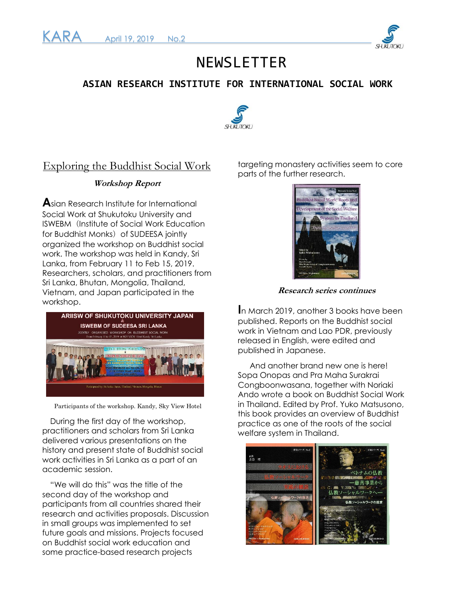



# NEWSLETTER

### **ASIAN RESEARCH INSTITUTE FOR INTERNATIONAL SOCIAL WORK**



### Exploring the Buddhist Social Work

### **Workshop Report**

**A**sian Research Institute for International Social Work at Shukutoku University and ISWEBM (Institute of Social Work Education for Buddhist Monks) of SUDEESA jointly organized the workshop on Buddhist social work. The workshop was held in Kandy, Sri Lanka, from February 11 to Feb 15, 2019. Researchers, scholars, and practitioners from Sri Lanka, Bhutan, Mongolia, Thailand, Vietnam, and Japan participated in the workshop.



Participants of the workshop. Kandy, Sky View Hotel

 During the first day of the workshop, practitioners and scholars from Sri Lanka delivered various presentations on the history and present state of Buddhist social work activities in Sri Lanka as a part of an academic session.

"We will do this" was the title of the second day of the workshop and participants from all countries shared their research and activities proposals. Discussion in small groups was implemented to set future goals and missions. Projects focused on Buddhist social work education and some practice-based research projects

targeting monastery activities seem to core parts of the further research.



**Research series continues**

**I**n March 2019, another 3 books have been published. Reports on the Buddhist social work in Vietnam and Lao PDR, previously released in English, were edited and published in Japanese.

And another brand new one is here! Sopa Onopas and Pra Maha Surakrai Congboonwasana, together with Noriaki Ando wrote a book on Buddhist Social Work in Thailand. Edited by Prof. Yuko Matsusono, this book provides an overview of Buddhist practice as one of the roots of the social welfare system in Thailand.